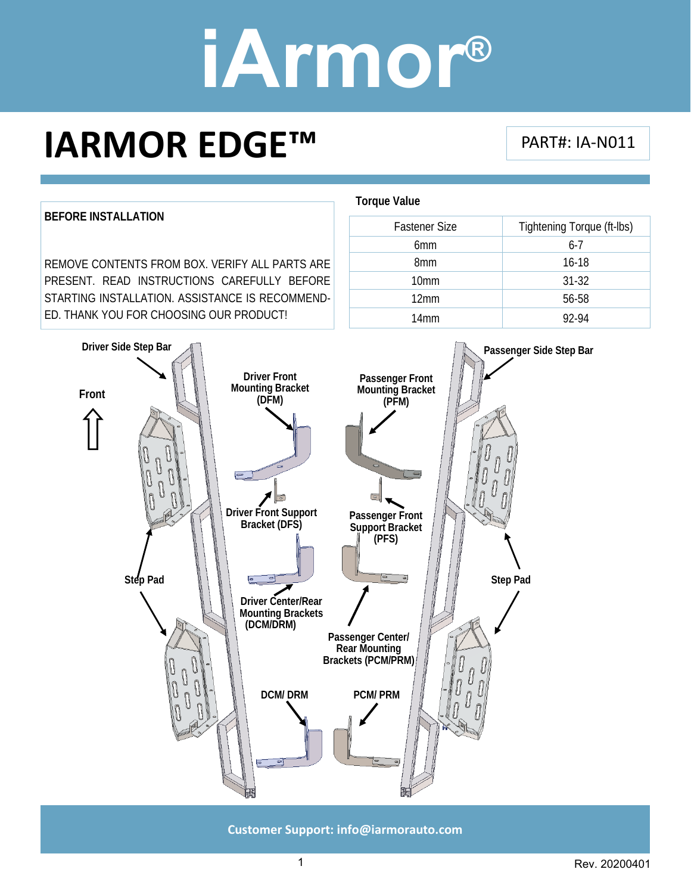### **IARMOR EDGE™**

#### PART#: IA‐N011



**Customer Support: info@iarmorauto.com** 

1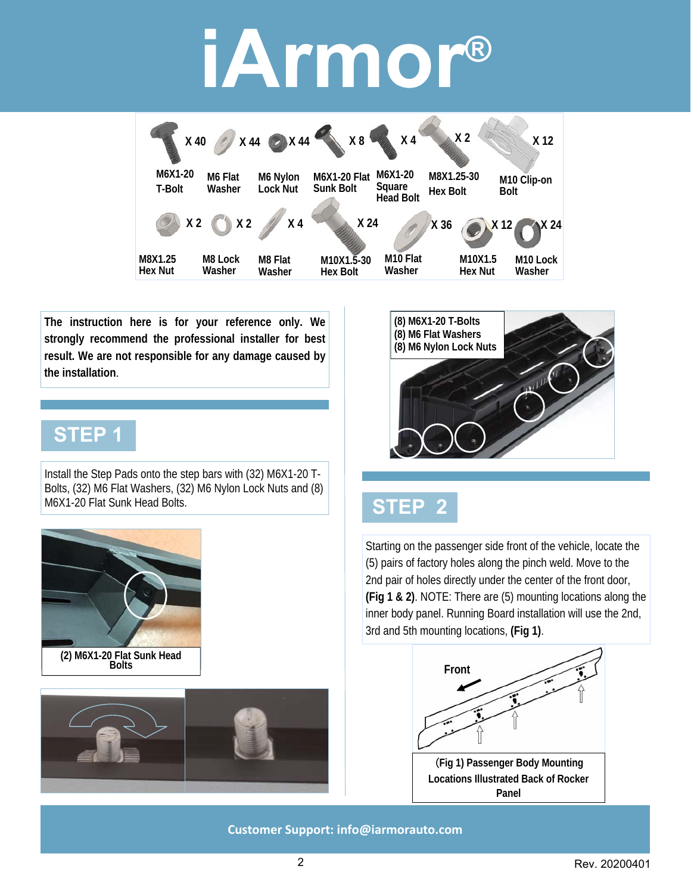

**The instruction here is for your reference only. We strongly recommend the professional installer for best result. We are not responsible for any damage caused by the installation**.

### **STEP 1**

Install the Step Pads onto the step bars with (32) M6X1-20 T-Bolts, (32) M6 Flat Washers, (32) M6 Nylon Lock Nuts and (8) M6X1-20 Flat Sunk Head Bolts.









### **STEP 2**

Starting on the passenger side front of the vehicle, locate the (5) pairs of factory holes along the pinch weld. Move to the 2nd pair of holes directly under the center of the front door, **(Fig 1 & 2)**. NOTE: There are (5) mounting locations along the inner body panel. Running Board installation will use the 2nd, 3rd and 5th mounting locations, **(Fig 1)**.



**Panel**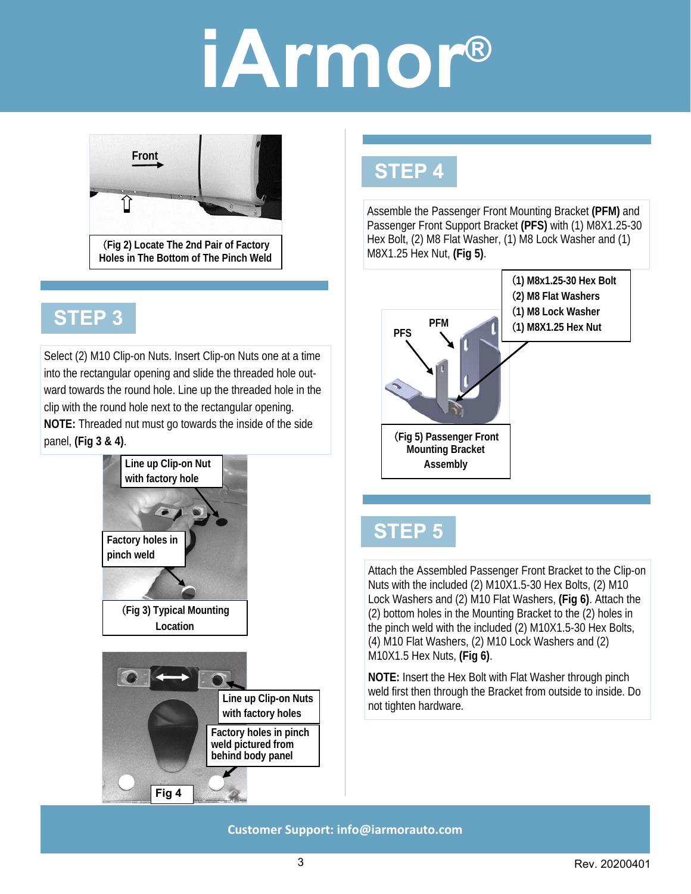

### **STEP 3**

Select (2) M10 Clip-on Nuts. Insert Clip-on Nuts one at a time into the rectangular opening and slide the threaded hole outward towards the round hole. Line up the threaded hole in the clip with the round hole next to the rectangular opening. **NOTE:** Threaded nut must go towards the inside of the side panel, **(Fig 3 & 4)**.



### **STEP 4**

Assemble the Passenger Front Mounting Bracket **(PFM)** and Passenger Front Support Bracket **(PFS)** with (1) M8X1.25-30 Hex Bolt, (2) M8 Flat Washer, (1) M8 Lock Washer and (1) M8X1.25 Hex Nut, **(Fig 5)**.



### **STEP 5**

Attach the Assembled Passenger Front Bracket to the Clip-on Nuts with the included (2) M10X1.5-30 Hex Bolts, (2) M10 Lock Washers and (2) M10 Flat Washers, **(Fig 6)**. Attach the (2) bottom holes in the Mounting Bracket to the (2) holes in the pinch weld with the included (2) M10X1.5-30 Hex Bolts, (4) M10 Flat Washers, (2) M10 Lock Washers and (2) M10X1.5 Hex Nuts, **(Fig 6)**.

**NOTE:** Insert the Hex Bolt with Flat Washer through pinch weld first then through the Bracket from outside to inside. Do not tighten hardware.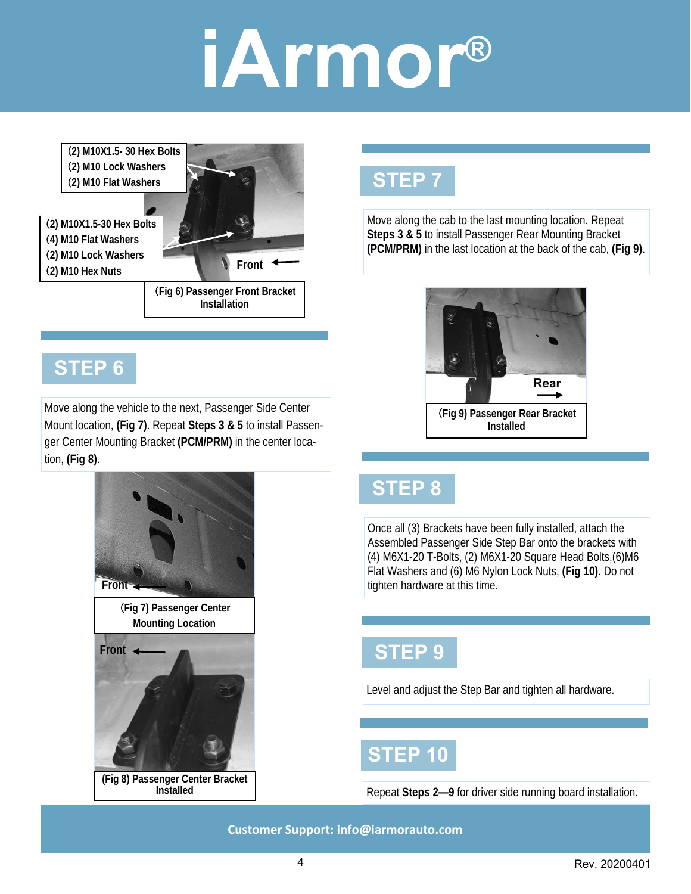(**2) M10X1.5- 30 Hex Bolts**  (**2) M10 Lock Washers**  (**2) M10 Flat Washers** 

(**2) M10X1.5-30 Hex Bolts**  (**4) M10 Flat Washers**  (**2) M10 Lock Washers**  (**2) M10 Hex Nuts** 



### **STEP 6**

Move along the vehicle to the next, Passenger Side Center Mount location, **(Fig 7)**. Repeat **Steps 3 & 5** to install Passenger Center Mounting Bracket **(PCM/PRM)** in the center location, **(Fig 8)**.



### **STEP 7**

Move along the cab to the last mounting location. Repeat **Steps 3 & 5** to install Passenger Rear Mounting Bracket **(PCM/PRM)** in the last location at the back of the cab, **(Fig 9)**.



(**Fig 9) Passenger Rear Bracket Installed** 

### **STEP 8**

Once all (3) Brackets have been fully installed, attach the Assembled Passenger Side Step Bar onto the brackets with (4) M6X1-20 T-Bolts, (2) M6X1-20 Square Head Bolts,(6)M6 Flat Washers and (6) M6 Nylon Lock Nuts, **(Fig 10)**. Do not tighten hardware at this time.

### **STEP 9**

Level and adjust the Step Bar and tighten all hardware.

### **STEP 10**

Repeat **Steps 2—9** for driver side running board installation.